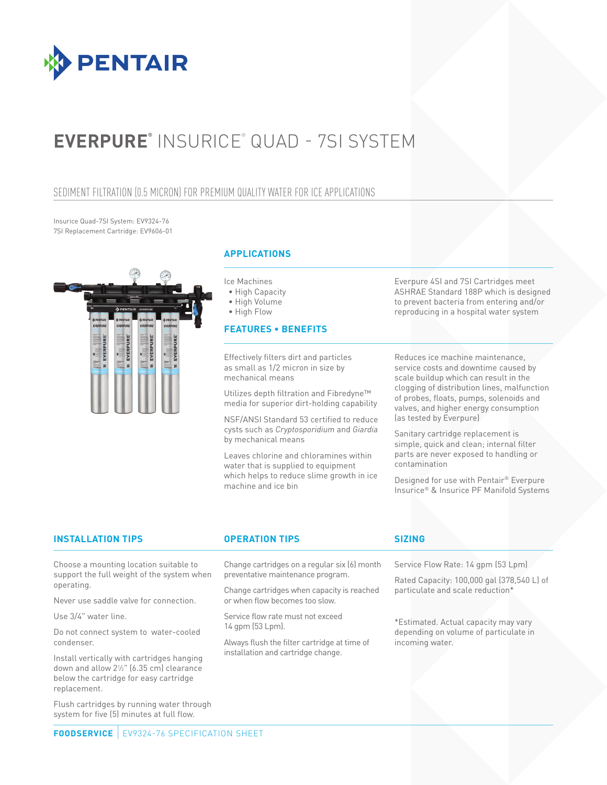

# **EVERPURE®** INSURICE® QUAD - 7SI SYSTEM

### SEDIMENT FILTRATION (0.5 MICRON) FOR PREMIUM QUALITY WATER FOR ICE APPLICATIONS

Insurice Quad-7SI System: EV9324-76 7SI Replacement Cartridge: EV9606-01



### **APPLICATIONS**

Ice Machines

- High Capacity
- High Volume

• High Flow

### **FEATURES • BENEFITS**

Effectively filters dirt and particles as small as 1/2 micron in size by mechanical means

Utilizes depth filtration and Fibredyne™ media for superior dirt-holding capability

NSF/ANSI Standard 53 certified to reduce cysts such as *Cryptosporidium* and *Giardia* by mechanical means

Leaves chlorine and chloramines within water that is supplied to equipment which helps to reduce slime growth in ice machine and ice bin

Everpure 4SI and 7SI Cartridges meet ASHRAE Standard 188P which is designed to prevent bacteria from entering and/or reproducing in a hospital water system

Reduces ice machine maintenance, service costs and downtime caused by scale buildup which can result in the clogging of distribution lines, malfunction of probes, floats, pumps, solenoids and valves, and higher energy consumption (as tested by Everpure)

Sanitary cartridge replacement is simple, quick and clean; internal filter parts are never exposed to handling or contamination

Designed for use with Pentair® Everpure Insurice® & Insurice PF Manifold Systems

### **INSTALLATION TIPS OPERATION TIPS SIZING**

Choose a mounting location suitable to support the full weight of the system when operating.

Never use saddle valve for connection.

Use 3/4" water line.

Do not connect system to water-cooled condenser.

Install vertically with cartridges hanging down and allow 21 ⁄2" (6.35 cm) clearance below the cartridge for easy cartridge replacement.

Flush cartridges by running water through system for five (5) minutes at full flow.

Change cartridges on a regular six (6) month preventative maintenance program.

Change cartridges when capacity is reached or when flow becomes too slow.

Service flow rate must not exceed 14 gpm (53 Lpm).

Always flush the filter cartridge at time of installation and cartridge change.

Service Flow Rate: 14 gpm (53 Lpm)

Rated Capacity: 100,000 gal (378,540 L) of particulate and scale reduction\*

\*Estimated. Actual capacity may vary depending on volume of particulate in incoming water.